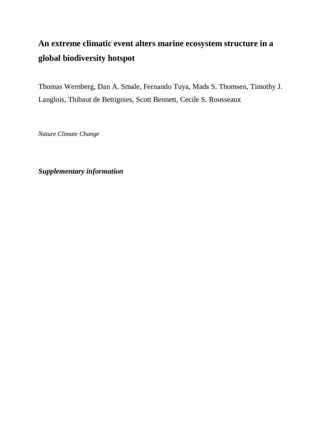# **An extreme climatic event alters marine ecosystem structure in a global biodiversity hotspot**

Thomas Wernberg, Dan A. Smale, Fernando Tuya, Mads S. Thomsen, Timothy J. Langlois, Thibaut de Bettignies, Scott Bennett, Cecile S. Rousseaux

*Nature Climate Change*

*Supplementary information*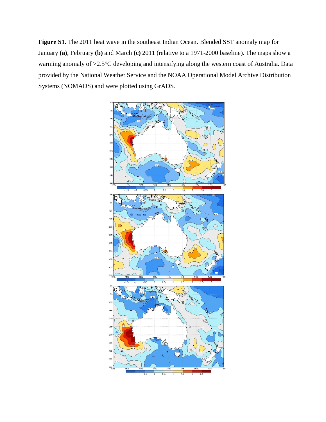**Figure S1.** The 2011 heat wave in the southeast Indian Ocean. Blended SST anomaly map for January **(a)**, February **(b)** and March **(c)** 2011 (relative to a 1971-2000 baseline). The maps show a warming anomaly of >2.5°C developing and intensifying along the western coast of Australia. Data provided by the National Weather Service and the NOAA Operational Model Archive Distribution Systems (NOMADS) and were plotted using GrADS.

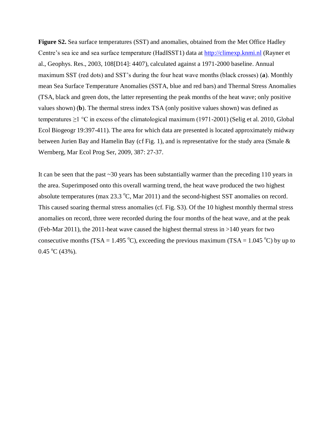**Figure S2.** Sea surface temperatures (SST) and anomalies, obtained from the Met Office Hadley Centre's sea ice and sea surface temperature (HadISST1) data at [http://climexp.knmi.nl](http://climexp.knmi.nl/) (Rayner et al., Geophys. Res., 2003, 108[D14]: 4407), calculated against a 1971-2000 baseline. Annual maximum SST (red dots) and SST's during the four heat wave months (black crosses) (**a**). Monthly mean Sea Surface Temperature Anomalies (SSTA, blue and red bars) and Thermal Stress Anomalies (TSA, black and green dots, the latter representing the peak months of the heat wave; only positive values shown) (**b**). The thermal stress index TSA (only positive values shown) was defined as temperatures  $\geq$ 1 °C in excess of the climatological maximum (1971-2001) (Selig et al. 2010, Global Ecol Biogeogr 19:397-411). The area for which data are presented is located approximately midway between Jurien Bay and Hamelin Bay (cf Fig. 1), and is representative for the study area (Smale  $\&$ Wernberg, Mar Ecol Prog Ser, 2009, 387: 27-37.

It can be seen that the past ~30 years has been substantially warmer than the preceding 110 years in the area. Superimposed onto this overall warming trend, the heat wave produced the two highest absolute temperatures (max  $23.3 \text{ °C}$ , Mar  $2011$ ) and the second-highest SST anomalies on record. This caused soaring thermal stress anomalies (cf. Fig. S3). Of the 10 highest monthly thermal stress anomalies on record, three were recorded during the four months of the heat wave, and at the peak (Feb-Mar 2011), the 2011-heat wave caused the highest thermal stress in  $>140$  years for two consecutive months (TSA = 1.495 °C), exceeding the previous maximum (TSA = 1.045 °C) by up to  $0.45 \text{ °C}$  (43%).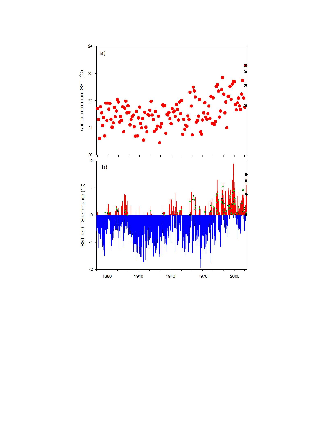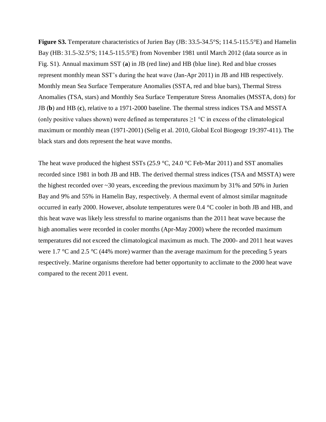**Figure S3.** Temperature characteristics of Jurien Bay (JB: 33.5-34.5°S; 114.5-115.5°E) and Hamelin Bay (HB: 31.5-32.5°S; 114.5-115.5°E) from November 1981 until March 2012 (data source as in Fig. S1). Annual maximum SST (**a**) in JB (red line) and HB (blue line). Red and blue crosses represent monthly mean SST's during the heat wave (Jan-Apr 2011) in JB and HB respectively. Monthly mean Sea Surface Temperature Anomalies (SSTA, red and blue bars), Thermal Stress Anomalies (TSA, stars) and Monthly Sea Surface Temperature Stress Anomalies (MSSTA, dots) for JB (**b**) and HB (**c**), relative to a 1971-2000 baseline. The thermal stress indices TSA and MSSTA (only positive values shown) were defined as temperatures  $\geq$ 1 °C in excess of the climatological maximum or monthly mean (1971-2001) (Selig et al. 2010, Global Ecol Biogeogr 19:397-411). The black stars and dots represent the heat wave months.

The heat wave produced the highest SSTs (25.9  $\degree$ C, 24.0  $\degree$ C Feb-Mar 2011) and SST anomalies recorded since 1981 in both JB and HB. The derived thermal stress indices (TSA and MSSTA) were the highest recorded over ~30 years, exceeding the previous maximum by 31% and 50% in Jurien Bay and 9% and 55% in Hamelin Bay, respectively. A thermal event of almost similar magnitude occurred in early 2000. However, absolute temperatures were 0.4 °C cooler in both JB and HB, and this heat wave was likely less stressful to marine organisms than the 2011 heat wave because the high anomalies were recorded in cooler months (Apr-May 2000) where the recorded maximum temperatures did not exceed the climatological maximum as much. The 2000- and 2011 heat waves were 1.7  $\degree$ C and 2.5  $\degree$ C (44% more) warmer than the average maximum for the preceding 5 years respectively. Marine organisms therefore had better opportunity to acclimate to the 2000 heat wave compared to the recent 2011 event.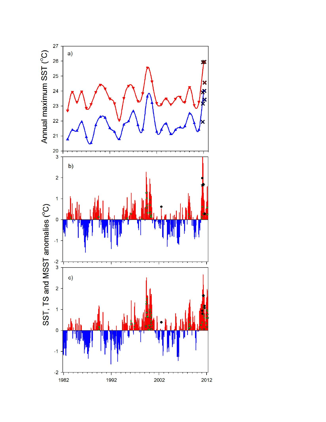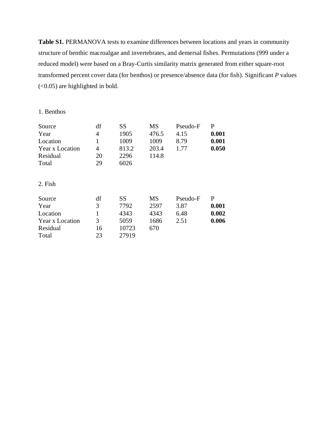**Table S1.** PERMANOVA tests to examine differences between locations and years in community structure of benthic macroalgae and invertebrates, and demersal fishes. Permutations (999 under a reduced model) were based on a Bray-Curtis similarity matrix generated from either square-root transformed percent cover data (for benthos) or presence/absence data (for fish). Significant *P* values (<0.05) are highlighted in bold.

#### 1. Benthos

| Source          | df             | <b>SS</b> | MS        | Pseudo-F | P     |
|-----------------|----------------|-----------|-----------|----------|-------|
| Year            | $\overline{4}$ | 1905      | 476.5     | 4.15     | 0.001 |
| Location        |                | 1009      | 1009      | 8.79     | 0.001 |
| Year x Location | $\overline{4}$ | 813.2     | 203.4     | 1.77     | 0.050 |
| Residual        | 20             | 2296      | 114.8     |          |       |
| Total           | 29             | 6026      |           |          |       |
| 2. Fish         |                |           |           |          |       |
| Source          | df             | <b>SS</b> | <b>MS</b> | Pseudo-F | P     |
| Year            | 3              | 7792      | 2597      | 3.87     | 0.001 |
| Location        |                | 4343      | 4343      | 6.48     | 0.002 |
| Year x Location | 3              | 5059      | 1686      | 2.51     | 0.006 |
| Residual        | 16             | 10723     | 670       |          |       |
| Total           | 23             | 27919     |           |          |       |
|                 |                |           |           |          |       |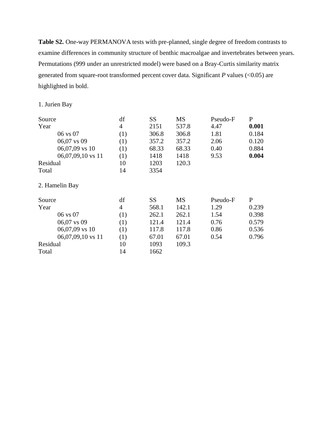**Table S2.** One-way PERMANOVA tests with pre-planned, single degree of freedom contrasts to examine differences in community structure of benthic macroalgae and invertebrates between years. Permutations (999 under an unrestricted model) were based on a Bray-Curtis similarity matrix generated from square-root transformed percent cover data. Significant *P* values (<0.05) are highlighted in bold.

### 1. Jurien Bay

| Source            | df             | <b>SS</b> | MS        | Pseudo-F | $\mathbf{P}$ |
|-------------------|----------------|-----------|-----------|----------|--------------|
| Year              | $\overline{4}$ | 2151      | 537.8     | 4.47     | 0.001        |
| 06 vs 07          | (1)            | 306.8     | 306.8     | 1.81     | 0.184        |
| 06,07 vs 09       | (1)            | 357.2     | 357.2     | 2.06     | 0.120        |
| 06,07,09 vs 10    | (1)            | 68.33     | 68.33     | 0.40     | 0.884        |
| 06,07,09,10 vs 11 | (1)            | 1418      | 1418      | 9.53     | 0.004        |
| Residual          | 10             | 1203      | 120.3     |          |              |
| Total             | 14             | 3354      |           |          |              |
| 2. Hamelin Bay    |                |           |           |          |              |
| Source            | df             | SS        | <b>MS</b> | Pseudo-F | $\mathbf{P}$ |
| Year              | $\overline{4}$ | 568.1     | 142.1     | 1.29     | 0.239        |
| 06 vs 07          | (1)            | 262.1     | 262.1     | 1.54     | 0.398        |
| $06,07$ vs 09     | (1)            | 121.4     | 121.4     | 0.76     | 0.579        |
| 06,07,09 vs 10    | (1)            | 117.8     | 117.8     | 0.86     | 0.536        |
| 06,07,09,10 vs 11 | (1)            | 67.01     | 67.01     | 0.54     | 0.796        |
| Residual          | 10             | 1093      | 109.3     |          |              |
| Total             | 14             | 1662      |           |          |              |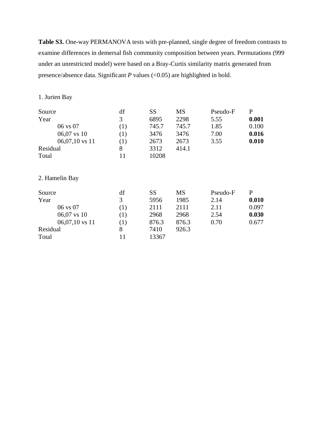**Table S3.** One-way PERMANOVA tests with pre-planned, single degree of freedom contrasts to examine differences in demersal fish community composition between years. Permutations (999 under an unrestricted model) were based on a Bray-Curtis similarity matrix generated from presence/absence data. Significant *P* values (<0.05) are highlighted in bold.

#### 1. Jurien Bay

| Source           | df  | <b>SS</b> | <b>MS</b> | Pseudo-F | P     |
|------------------|-----|-----------|-----------|----------|-------|
| Year             | 3   | 6895      | 2298      | 5.55     | 0.001 |
| 06 vs 07         | (1) | 745.7     | 745.7     | 1.85     | 0.100 |
| 06,07 vs 10      | (1) | 3476      | 3476      | 7.00     | 0.016 |
| $06,07,10$ vs 11 | (1) | 2673      | 2673      | 3.55     | 0.010 |
| Residual         | 8   | 3312      | 414.1     |          |       |
| Total            | 11  | 10208     |           |          |       |
| 2. Hamelin Bay   |     |           |           |          |       |

| Source   |                  | df               | SS    | <b>MS</b> | Pseudo-F | P     |
|----------|------------------|------------------|-------|-----------|----------|-------|
| Year     |                  | 3                | 5956  | 1985      | 2.14     | 0.010 |
|          | 06 vs 07         | $\left(1\right)$ | 2111  | 2111      | 2.11     | 0.097 |
|          | $06,07$ vs 10    | (1)              | 2968  | 2968      | 2.54     | 0.030 |
|          | $06,07,10$ vs 11 | (1)              | 876.3 | 876.3     | 0.70     | 0.677 |
| Residual |                  |                  | 7410  | 926.3     |          |       |
| Total    |                  |                  | 13367 |           |          |       |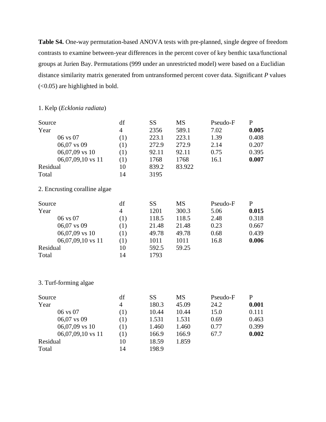**Table S4.** One-way permutation-based ANOVA tests with pre-planned, single degree of freedom contrasts to examine between-year differences in the percent cover of key benthic taxa/functional groups at Jurien Bay. Permutations (999 under an unrestricted model) were based on a Euclidian distance similarity matrix generated from untransformed percent cover data. Significant *P* values (<0.05) are highlighted in bold.

#### 1. Kelp (*Ecklonia radiata*)

| Source              | df  | SS    | <b>MS</b> | Pseudo-F | P     |
|---------------------|-----|-------|-----------|----------|-------|
| Year                | 4   | 2356  | 589.1     | 7.02     | 0.005 |
| $06 \text{ vs } 07$ | (1) | 223.1 | 223.1     | 1.39     | 0.408 |
| $06,07$ vs 09       | (1) | 272.9 | 272.9     | 2.14     | 0.207 |
| $06,07,09$ vs 10    | (1) | 92.11 | 92.11     | 0.75     | 0.395 |
| 06,07,09,10 vs 11   | (1) | 1768  | 1768      | 16.1     | 0.007 |
| Residual            | 10  | 839.2 | 83.922    |          |       |
| Total               | 14  | 3195  |           |          |       |

## 2. Encrusting coralline algae

| Source            | df             | SS    | MS    | Pseudo-F | P     |
|-------------------|----------------|-------|-------|----------|-------|
| Year              | $\overline{4}$ | 1201  | 300.3 | 5.06     | 0.015 |
| 06 vs 07          | (1)            | 118.5 | 118.5 | 2.48     | 0.318 |
| 06,07 vs 09       | (1)            | 21.48 | 21.48 | 0.23     | 0.667 |
| 06,07,09 vs 10    | (1)            | 49.78 | 49.78 | 0.68     | 0.439 |
| 06,07,09,10 vs 11 | (1)            | 1011  | 1011  | 16.8     | 0.006 |
| Residual          | 10             | 592.5 | 59.25 |          |       |
| Total             | 14             | 1793  |       |          |       |

#### 3. Turf-forming algae

| Source   |                   | df  | SS    | <b>MS</b> | Pseudo-F | P     |
|----------|-------------------|-----|-------|-----------|----------|-------|
| Year     |                   | 4   | 180.3 | 45.09     | 24.2     | 0.001 |
|          | 06 vs 07          | (1) | 10.44 | 10.44     | 15.0     | 0.111 |
|          | 06,07 vs 09       | (1) | 1.531 | 1.531     | 0.69     | 0.463 |
|          | $06,07,09$ vs 10  | (1) | 1.460 | 1.460     | 0.77     | 0.399 |
|          | 06,07,09,10 vs 11 | (1) | 166.9 | 166.9     | 67.7     | 0.002 |
| Residual |                   | 10  | 18.59 | 1.859     |          |       |
| Total    |                   | 14  | 198.9 |           |          |       |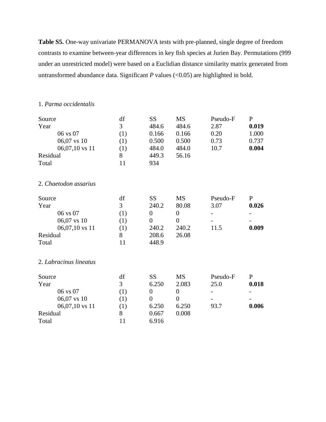**Table S5.** One-way univariate PERMANOVA tests with pre-planned, single degree of freedom contrasts to examine between-year differences in key fish species at Jurien Bay. Permutations (999 under an unrestricted model) were based on a Euclidian distance similarity matrix generated from untransformed abundance data. Significant *P* values (<0.05) are highlighted in bold.

#### 1. *Parma occidentalis*

| Source                 | df  | SS             | <b>MS</b>      | Pseudo-F | $\mathbf{P}$ |
|------------------------|-----|----------------|----------------|----------|--------------|
| Year                   | 3   | 484.6          | 484.6          | 2.87     | 0.019        |
| 06 vs 07               | (1) | 0.166          | 0.166          | 0.20     | 1.000        |
| 06,07 vs 10            | (1) | 0.500          | 0.500          | 0.73     | 0.737        |
| $06,07,10$ vs 11       | (1) | 484.0          | 484.0          | 10.7     | 0.004        |
| Residual               | 8   | 449.3          | 56.16          |          |              |
| Total                  | 11  | 934            |                |          |              |
| 2. Chaetodon assarius  |     |                |                |          |              |
| Source                 | df  | <b>SS</b>      | <b>MS</b>      | Pseudo-F | $\mathbf{P}$ |
| Year                   | 3   | 240.2          | 80.08          | 3.07     | 0.026        |
| 06 vs 07               | (1) | $\overline{0}$ | $\overline{0}$ |          |              |
| 06,07 vs 10            | (1) | $\theta$       | $\theta$       |          |              |
| 06,07,10 vs 11         | (1) | 240.2          | 240.2          | 11.5     | 0.009        |
| Residual               | 8   | 208.6          | 26.08          |          |              |
| Total                  | 11  | 448.9          |                |          |              |
| 2. Labracinus lineatus |     |                |                |          |              |
| Source                 | df  | <b>SS</b>      | <b>MS</b>      | Pseudo-F | ${\bf P}$    |
| Year                   | 3   | 6.250          | 2.083          | 25.0     | 0.018        |
| 06 vs 07               | (1) | $\overline{0}$ | $\overline{0}$ |          |              |
| 06,07 vs 10            | (1) | $\overline{0}$ | $\overline{0}$ |          |              |
| $06,07,10$ vs 11       | (1) | 6.250          | 6.250          | 93.7     | 0.006        |
| Residual               | 8   | 0.667          | 0.008          |          |              |
| Total                  | 11  | 6.916          |                |          |              |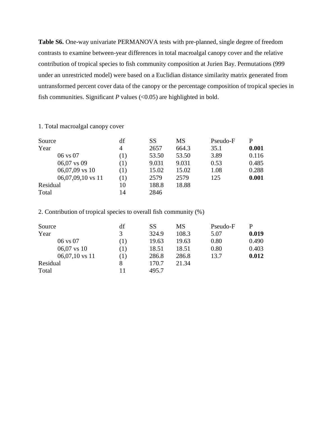**Table S6.** One-way univariate PERMANOVA tests with pre-planned, single degree of freedom contrasts to examine between-year differences in total macroalgal canopy cover and the relative contribution of tropical species to fish community composition at Jurien Bay. Permutations (999 under an unrestricted model) were based on a Euclidian distance similarity matrix generated from untransformed percent cover data of the canopy or the percentage composition of tropical species in fish communities. Significant  $P$  values (<0.05) are highlighted in bold.

#### 1. Total macroalgal canopy cover

| Source            | df  | SS    | <b>MS</b> | Pseudo-F | P     |
|-------------------|-----|-------|-----------|----------|-------|
| Year              | 4   | 2657  | 664.3     | 35.1     | 0.001 |
| 06 vs 07          | (1) | 53.50 | 53.50     | 3.89     | 0.116 |
| 06,07 vs 09       | (1) | 9.031 | 9.031     | 0.53     | 0.485 |
| $06,07,09$ vs 10  | (1) | 15.02 | 15.02     | 1.08     | 0.288 |
| 06,07,09,10 vs 11 | (1) | 2579  | 2579      | 125      | 0.001 |
| Residual          | 10  | 188.8 | 18.88     |          |       |
| Total             | 14  | 2846  |           |          |       |

2. Contribution of tropical species to overall fish community (%)

| Source           | df  | SS    | MS    | Pseudo-F | P     |
|------------------|-----|-------|-------|----------|-------|
| Year             | 3   | 324.9 | 108.3 | 5.07     | 0.019 |
| 06 vs 07         | (1) | 19.63 | 19.63 | 0.80     | 0.490 |
| $06,07$ vs 10    | (1) | 18.51 | 18.51 | 0.80     | 0.403 |
| $06,07,10$ vs 11 | (1) | 286.8 | 286.8 | 13.7     | 0.012 |
| Residual         | 8   | 170.7 | 21.34 |          |       |
| Total            |     | 495.7 |       |          |       |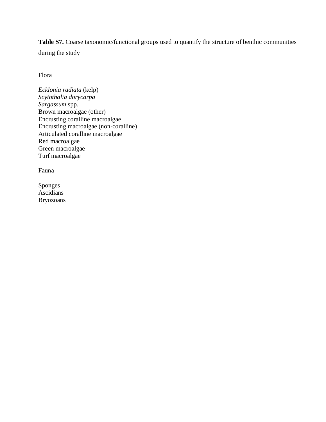**Table S7.** Coarse taxonomic/functional groups used to quantify the structure of benthic communities during the study

Flora

*Ecklonia radiata* (kelp) *Scytothalia dorycarpa Sargassum* spp. Brown macroalgae (other) Encrusting coralline macroalgae Encrusting macroalgae (non-coralline) Articulated coralline macroalgae Red macroalgae Green macroalgae Turf macroalgae

Fauna

Sponges Ascidians Bryozoans